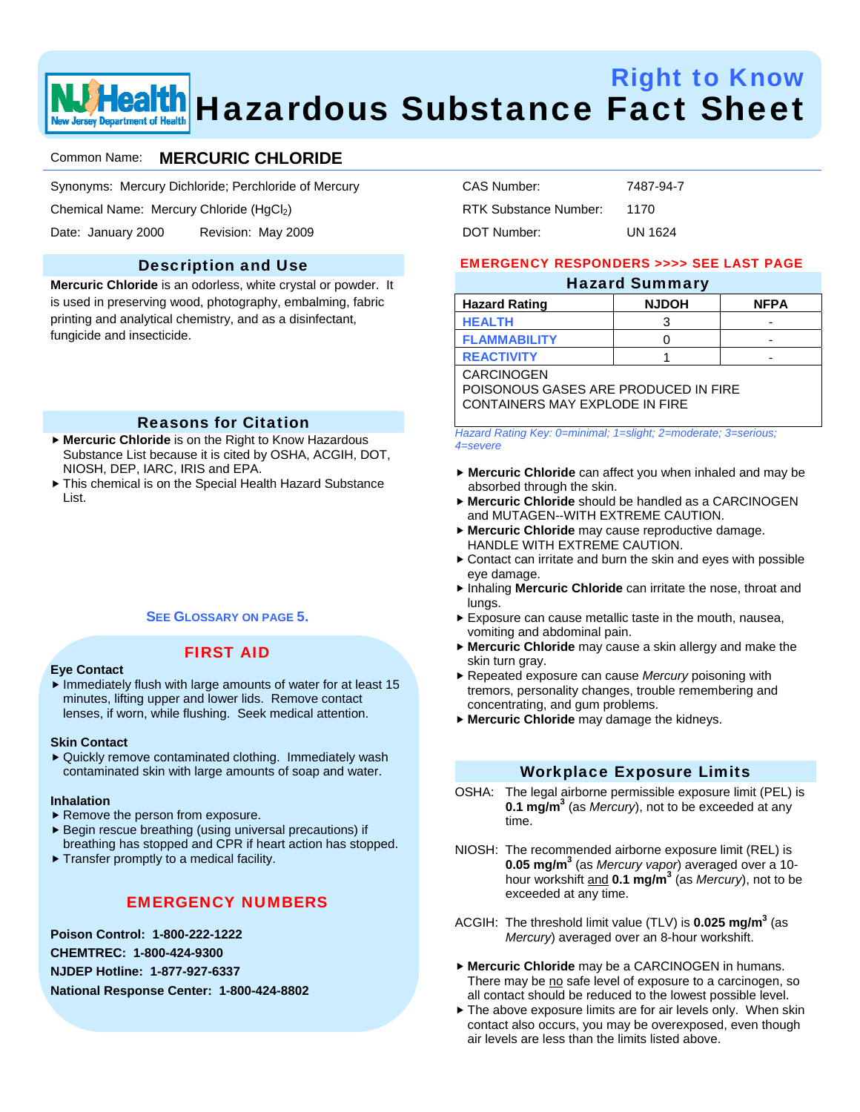# Right to Know Wealth Hazardous Substance Fact Sheet

# Common Name: **MERCURIC CHLORIDE**

Synonyms: Mercury Dichloride; Perchloride of Mercury

Chemical Name: Mercury Chloride (HgCl<sub>2</sub>)

Date: January 2000 Revision: May 2009

## Description and Use

**Mercuric Chloride** is an odorless, white crystal or powder. It is used in preserving wood, photography, embalming, fabric printing and analytical chemistry, and as a disinfectant, fungicide and insecticide.

## Reasons for Citation

- **Mercuric Chloride** is on the Right to Know Hazardous Substance List because it is cited by OSHA, ACGIH, DOT, NIOSH, DEP, IARC, IRIS and EPA.
- $\triangleright$  This chemical is on the Special Health Hazard Substance List.

#### **SEE GLOSSARY ON PAGE 5.**

#### **Eye Contact**

# FIRST AID

 $\blacktriangleright$  Immediately flush with large amounts of water for at least 15 minutes, lifting upper and lower lids. Remove contact lenses, if worn, while flushing. Seek medical attention.

#### **Skin Contact**

 $\blacktriangleright$  Quickly remove contaminated clothing. Immediately wash contaminated skin with large amounts of soap and water.

#### **Inhalation**

- $\blacktriangleright$  Remove the person from exposure.
- $\blacktriangleright$  Begin rescue breathing (using universal precautions) if breathing has stopped and CPR if heart action has stopped.
- $\blacktriangleright$  Transfer promptly to a medical facility.

# EMERGENCY NUMBERS

**Poison Control: 1-800-222-1222 CHEMTREC: 1-800-424-9300 NJDEP Hotline: 1-877-927-6337 National Response Center: 1-800-424-8802** 

| CAS Number:           | 7487-94-7 |
|-----------------------|-----------|
| RTK Substance Number: | 1170      |
| DOT Number:           | UN 1624   |

#### EMERGENCY RESPONDERS >>>> SEE LAST PAGE

### Hazard Summary

| --           |             |  |  |  |  |
|--------------|-------------|--|--|--|--|
| <b>NJDOH</b> | <b>NFPA</b> |  |  |  |  |
|              | -           |  |  |  |  |
|              | -           |  |  |  |  |
|              | -           |  |  |  |  |
|              |             |  |  |  |  |

CARCINOGEN

POISONOUS GASES ARE PRODUCED IN FIRE CONTAINERS MAY EXPLODE IN FIRE

*Hazard Rating Key: 0=minimal; 1=slight; 2=moderate; 3=serious; 4=severe*

- **Mercuric Chloride** can affect you when inhaled and may be absorbed through the skin.
- ▶ Mercuric Chloride should be handled as a CARCINOGEN and MUTAGEN--WITH EXTREME CAUTION.
- **Mercuric Chloride** may cause reproductive damage. HANDLE WITH EXTREME CAUTION.
- $\triangleright$  Contact can irritate and burn the skin and eyes with possible eye damage.
- **F** Inhaling Mercuric Chloride can irritate the nose, throat and lungs.
- $\blacktriangleright$  Exposure can cause metallic taste in the mouth, nausea, vomiting and abdominal pain.
- **Mercuric Chloride** may cause a skin allergy and make the skin turn gray.
- ▶ Repeated exposure can cause *Mercury* poisoning with tremors, personality changes, trouble remembering and concentrating, and gum problems.
- **Mercuric Chloride** may damage the kidneys.

## Workplace Exposure Limits

- OSHA: The legal airborne permissible exposure limit (PEL) is **0.1 mg/m3** (as *Mercury*), not to be exceeded at any time.
- NIOSH: The recommended airborne exposure limit (REL) is **0.05 mg/m3** (as *Mercury vapor*) averaged over a 10 hour workshift and **0.1 mg/m3** (as *Mercury*), not to be exceeded at any time.
- ACGIH: The threshold limit value (TLV) is **0.025 mg/m3** (as *Mercury*) averaged over an 8-hour workshift.
- **Mercuric Chloride** may be a CARCINOGEN in humans. There may be no safe level of exposure to a carcinogen, so all contact should be reduced to the lowest possible level.
- $\blacktriangleright$  The above exposure limits are for air levels only. When skin contact also occurs, you may be overexposed, even though air levels are less than the limits listed above.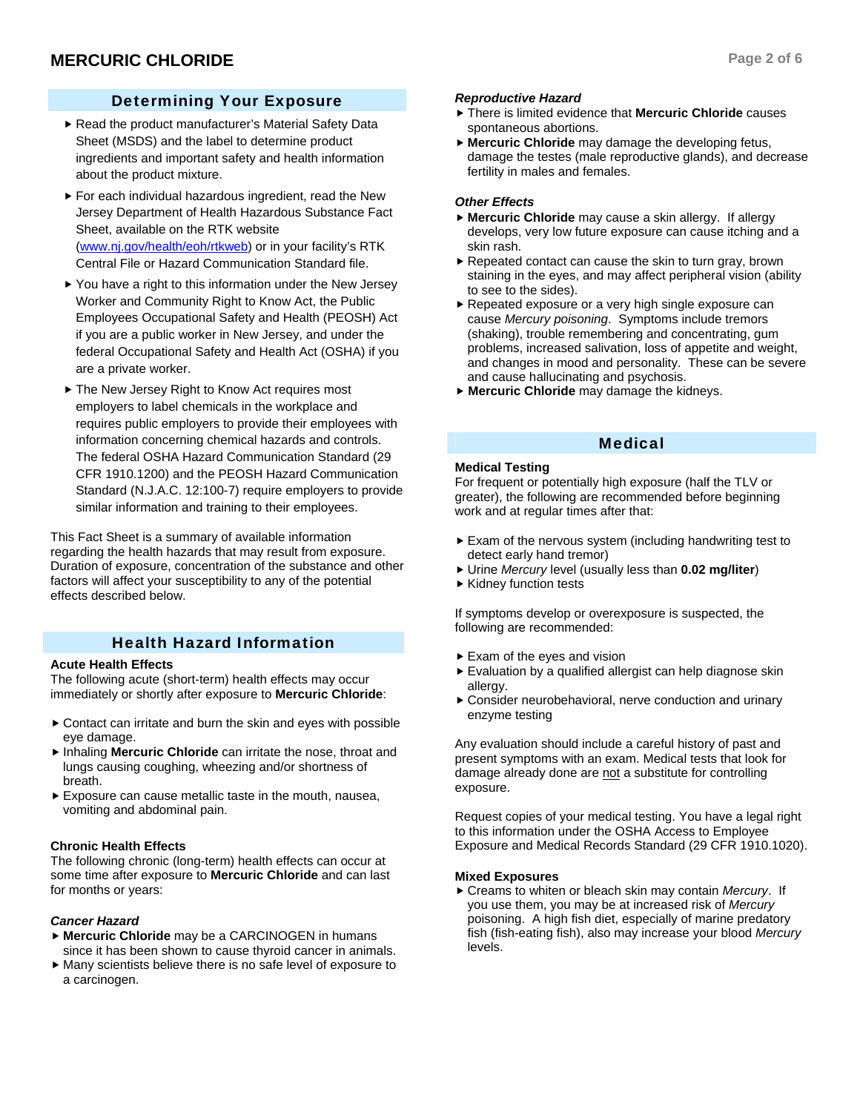## Determining Your Exposure

- Read the product manufacturer's Material Safety Data Sheet (MSDS) and the label to determine product ingredients and important safety and health information about the product mixture.
- $\blacktriangleright$  For each individual hazardous ingredient, read the New Jersey Department of Health Hazardous Substance Fact Sheet, available on the RTK website (www.nj.gov/health/eoh/rtkweb) or in your facility's RTK Central File or Hazard Communication Standard file.
- $\blacktriangleright$  You have a right to this information under the New Jersey Worker and Community Right to Know Act, the Public Employees Occupational Safety and Health (PEOSH) Act if you are a public worker in New Jersey, and under the federal Occupational Safety and Health Act (OSHA) if you are a private worker.
- ▶ The New Jersey Right to Know Act requires most employers to label chemicals in the workplace and requires public employers to provide their employees with information concerning chemical hazards and controls. The federal OSHA Hazard Communication Standard (29 CFR 1910.1200) and the PEOSH Hazard Communication Standard (N.J.A.C. 12:100-7) require employers to provide similar information and training to their employees.

This Fact Sheet is a summary of available information regarding the health hazards that may result from exposure. Duration of exposure, concentration of the substance and other factors will affect your susceptibility to any of the potential effects described below.

## Health Hazard Information

#### **Acute Health Effects**

The following acute (short-term) health effects may occur immediately or shortly after exposure to **Mercuric Chloride**:

- $\triangleright$  Contact can irritate and burn the skin and eyes with possible eye damage.
- **F** Inhaling **Mercuric Chloride** can irritate the nose, throat and lungs causing coughing, wheezing and/or shortness of breath.
- $\blacktriangleright$  Exposure can cause metallic taste in the mouth, nausea, vomiting and abdominal pain.

#### **Chronic Health Effects**

The following chronic (long-term) health effects can occur at some time after exposure to **Mercuric Chloride** and can last for months or years:

#### *Cancer Hazard*

- **EXECUTE Chloride** may be a CARCINOGEN in humans since it has been shown to cause thyroid cancer in animals.
- $\blacktriangleright$  Many scientists believe there is no safe level of exposure to a carcinogen.

#### *Reproductive Hazard*

- $\triangleright$  There is limited evidence that **Mercuric Chloride** causes spontaneous abortions.
- **Mercuric Chloride** may damage the developing fetus, damage the testes (male reproductive glands), and decrease fertility in males and females.

#### *Other Effects*

- **Mercuric Chloride** may cause a skin allergy. If allergy develops, very low future exposure can cause itching and a skin rash.
- $\blacktriangleright$  Repeated contact can cause the skin to turn gray, brown staining in the eyes, and may affect peripheral vision (ability to see to the sides).
- Repeated exposure or a very high single exposure can cause *Mercury poisoning*. Symptoms include tremors (shaking), trouble remembering and concentrating, gum problems, increased salivation, loss of appetite and weight, and changes in mood and personality. These can be severe and cause hallucinating and psychosis.
- **Mercuric Chloride** may damage the kidneys.

## Medical

#### **Medical Testing**

For frequent or potentially high exposure (half the TLV or greater), the following are recommended before beginning work and at regular times after that:

- $\blacktriangleright$  Exam of the nervous system (including handwriting test to detect early hand tremor)
- f Urine *Mercury* level (usually less than **0.02 mg/liter**)
- $\blacktriangleright$  Kidney function tests

If symptoms develop or overexposure is suspected, the following are recommended:

- $\blacktriangleright$  Exam of the eyes and vision
- $\blacktriangleright$  Evaluation by a qualified allergist can help diagnose skin allergy.
- $\triangleright$  Consider neurobehavioral, nerve conduction and urinary enzyme testing

Any evaluation should include a careful history of past and present symptoms with an exam. Medical tests that look for damage already done are not a substitute for controlling exposure.

Request copies of your medical testing. You have a legal right to this information under the OSHA Access to Employee Exposure and Medical Records Standard (29 CFR 1910.1020).

#### **Mixed Exposures**

▶ Creams to whiten or bleach skin may contain *Mercury*. If you use them, you may be at increased risk of *Mercury* poisoning. A high fish diet, especially of marine predatory fish (fish-eating fish), also may increase your blood *Mercury* levels.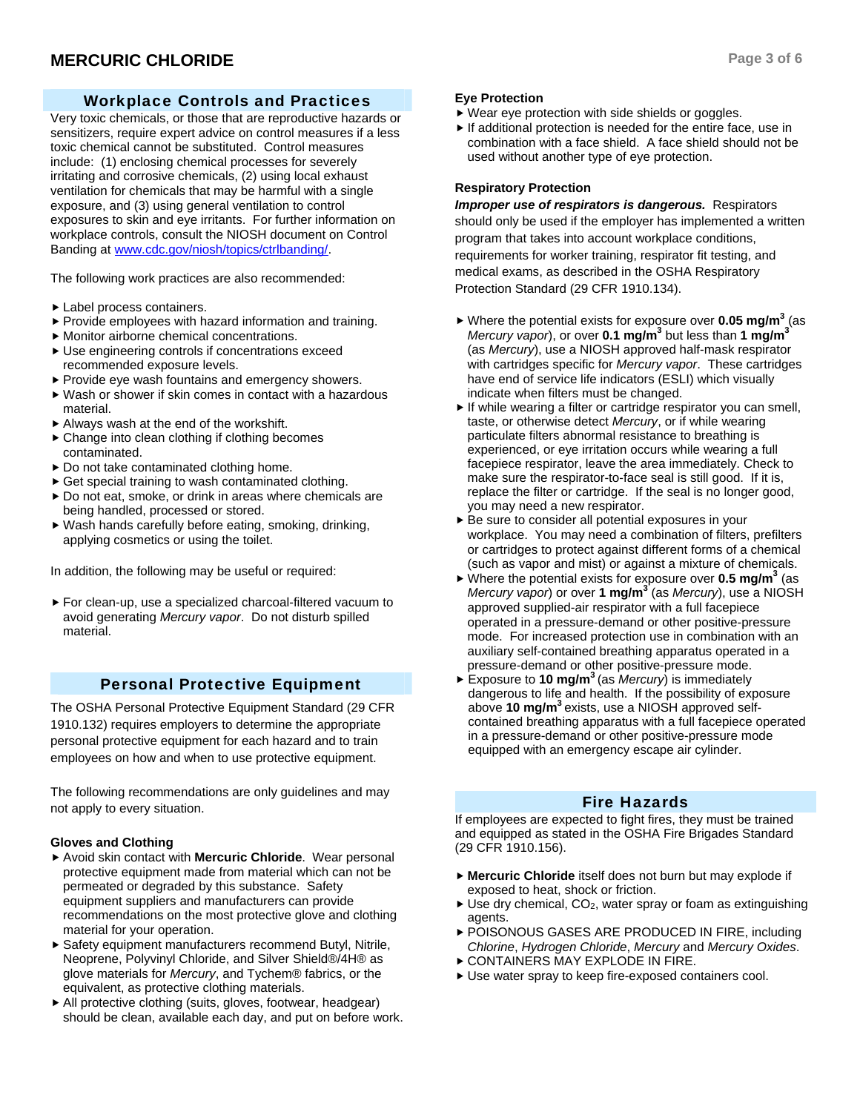# Workplace Controls and Practices

Very toxic chemicals, or those that are reproductive hazards or sensitizers, require expert advice on control measures if a less toxic chemical cannot be substituted. Control measures include: (1) enclosing chemical processes for severely irritating and corrosive chemicals, (2) using local exhaust ventilation for chemicals that may be harmful with a single exposure, and (3) using general ventilation to control exposures to skin and eye irritants. For further information on workplace controls, consult the NIOSH document on Control Banding at www.cdc.gov/niosh/topics/ctrlbanding/.

The following work practices are also recommended:

- $\blacktriangleright$  Label process containers.
- $\blacktriangleright$  Provide employees with hazard information and training.
- $\blacktriangleright$  Monitor airborne chemical concentrations.
- $\blacktriangleright$  Use engineering controls if concentrations exceed recommended exposure levels.
- $\blacktriangleright$  Provide eye wash fountains and emergency showers.
- $\blacktriangleright$  Wash or shower if skin comes in contact with a hazardous material.
- $\blacktriangleright$  Always wash at the end of the workshift.
- $\triangleright$  Change into clean clothing if clothing becomes contaminated.
- $\triangleright$  Do not take contaminated clothing home.
- $\triangleright$  Get special training to wash contaminated clothing.
- $\triangleright$  Do not eat, smoke, or drink in areas where chemicals are being handled, processed or stored.
- $\blacktriangleright$  Wash hands carefully before eating, smoking, drinking, applying cosmetics or using the toilet.

In addition, the following may be useful or required:

 $\blacktriangleright$  For clean-up, use a specialized charcoal-filtered vacuum to avoid generating *Mercury vapor*. Do not disturb spilled material.

# Personal Protective Equipment

The OSHA Personal Protective Equipment Standard (29 CFR 1910.132) requires employers to determine the appropriate personal protective equipment for each hazard and to train employees on how and when to use protective equipment.

The following recommendations are only guidelines and may not apply to every situation.

#### **Gloves and Clothing**

- ▶ Avoid skin contact with Mercuric Chloride. Wear personal protective equipment made from material which can not be permeated or degraded by this substance. Safety equipment suppliers and manufacturers can provide recommendations on the most protective glove and clothing material for your operation.
- $\triangleright$  Safety equipment manufacturers recommend Butyl, Nitrile, Neoprene, Polyvinyl Chloride, and Silver Shield®/4H® as glove materials for *Mercury*, and Tychem® fabrics, or the equivalent, as protective clothing materials.
- $\blacktriangleright$  All protective clothing (suits, gloves, footwear, headgear) should be clean, available each day, and put on before work.

#### **Eye Protection**

- $\blacktriangleright$  Wear eye protection with side shields or goggles.
- $\blacktriangleright$  If additional protection is needed for the entire face, use in combination with a face shield. A face shield should not be used without another type of eye protection.

## **Respiratory Protection**

*Improper use of respirators is dangerous.* Respirators should only be used if the employer has implemented a written program that takes into account workplace conditions, requirements for worker training, respirator fit testing, and medical exams, as described in the OSHA Respiratory Protection Standard (29 CFR 1910.134).

- ▶ Where the potential exists for exposure over **0.05 mg/m<sup>3</sup>** (as Mercury vapor), or over **0.1 mg/m<sup>3</sup>** but less than 1 mg/m<sup>3</sup> (as *Mercury*), use a NIOSH approved half-mask respirator with cartridges specific for *Mercury vapor*. These cartridges have end of service life indicators (ESLI) which visually indicate when filters must be changed.
- $\blacktriangleright$  If while wearing a filter or cartridge respirator you can smell, taste, or otherwise detect *Mercury*, or if while wearing particulate filters abnormal resistance to breathing is experienced, or eye irritation occurs while wearing a full facepiece respirator, leave the area immediately. Check to make sure the respirator-to-face seal is still good. If it is, replace the filter or cartridge. If the seal is no longer good, you may need a new respirator.
- $\blacktriangleright$  Be sure to consider all potential exposures in your workplace. You may need a combination of filters, prefilters or cartridges to protect against different forms of a chemical (such as vapor and mist) or against a mixture of chemicals.
- ▶ Where the potential exists for exposure over **0.5 mg/m<sup>3</sup>** (as *Mercury vapor*) or over **1 mg/m3** (as *Mercury*), use a NIOSH approved supplied-air respirator with a full facepiece operated in a pressure-demand or other positive-pressure mode. For increased protection use in combination with an auxiliary self-contained breathing apparatus operated in a pressure-demand or other positive-pressure mode.
- ► Exposure to **10 mg/m<sup>3</sup>** (as *Mercury*) is immediately dangerous to life and health. If the possibility of exposure above **10 mg/m3** exists, use a NIOSH approved selfcontained breathing apparatus with a full facepiece operated in a pressure-demand or other positive-pressure mode equipped with an emergency escape air cylinder.

## Fire Hazards

If employees are expected to fight fires, they must be trained and equipped as stated in the OSHA Fire Brigades Standard (29 CFR 1910.156).

- **Mercuric Chloride** itself does not burn but may explode if exposed to heat, shock or friction.
- $\blacktriangleright$  Use dry chemical, CO<sub>2</sub>, water spray or foam as extinguishing agents.
- **POISONOUS GASES ARE PRODUCED IN FIRE, including** *Chlorine*, *Hydrogen Chloride*, *Mercury* and *Mercury Oxides*.
- **EXPLODE IN FIRE.**
- $\blacktriangleright$  Use water spray to keep fire-exposed containers cool.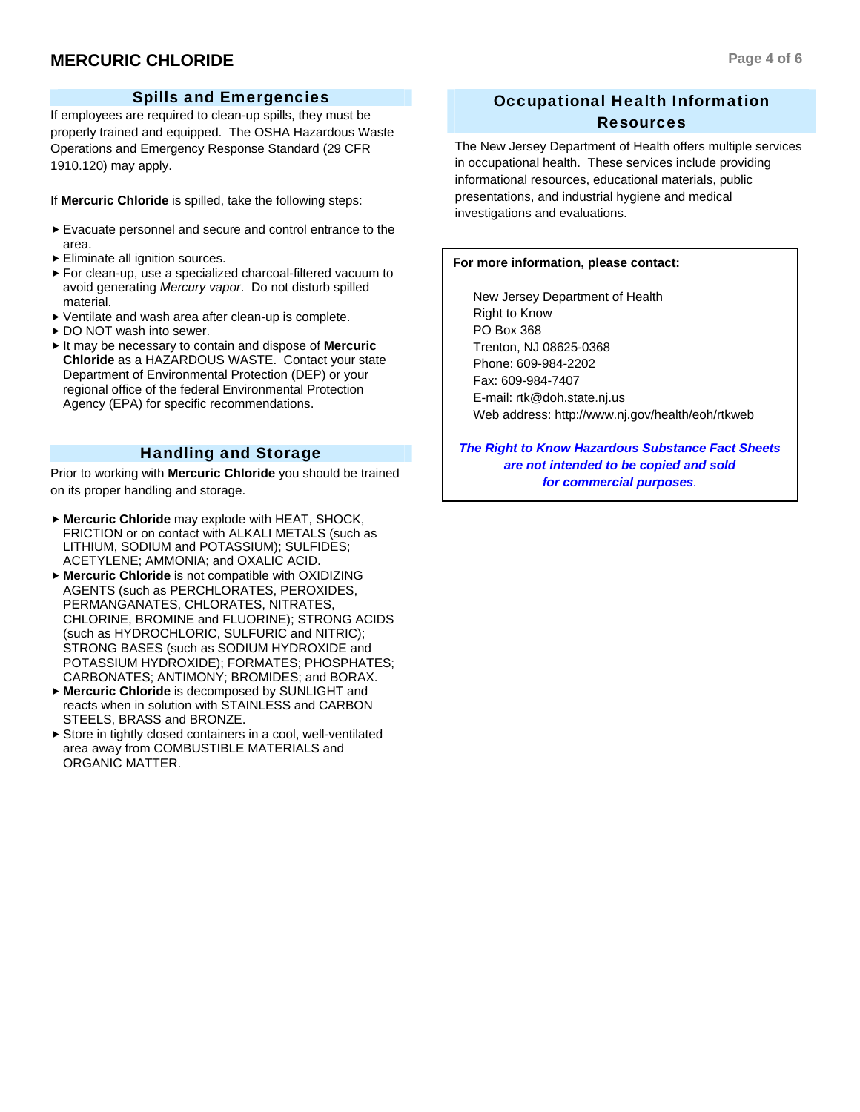## Spills and Emergencies

If employees are required to clean-up spills, they must be properly trained and equipped. The OSHA Hazardous Waste Operations and Emergency Response Standard (29 CFR 1910.120) may apply.

If **Mercuric Chloride** is spilled, take the following steps:

- $\blacktriangleright$  Evacuate personnel and secure and control entrance to the area.
- $\blacktriangleright$  Eliminate all ignition sources.
- $\blacktriangleright$  For clean-up, use a specialized charcoal-filtered vacuum to avoid generating *Mercury vapor*. Do not disturb spilled material.
- $\blacktriangleright$  Ventilate and wash area after clean-up is complete.
- ▶ DO NOT wash into sewer.
- It may be necessary to contain and dispose of Mercuric **Chloride** as a HAZARDOUS WASTE. Contact your state Department of Environmental Protection (DEP) or your regional office of the federal Environmental Protection Agency (EPA) for specific recommendations.

## Handling and Storage

Prior to working with **Mercuric Chloride** you should be trained on its proper handling and storage.

- **Mercuric Chloride** may explode with HEAT, SHOCK, FRICTION or on contact with ALKALI METALS (such as LITHIUM, SODIUM and POTASSIUM); SULFIDES; ACETYLENE; AMMONIA; and OXALIC ACID.
- **Mercuric Chloride** is not compatible with OXIDIZING AGENTS (such as PERCHLORATES, PEROXIDES, PERMANGANATES, CHLORATES, NITRATES, CHLORINE, BROMINE and FLUORINE); STRONG ACIDS (such as HYDROCHLORIC, SULFURIC and NITRIC); STRONG BASES (such as SODIUM HYDROXIDE and POTASSIUM HYDROXIDE); FORMATES; PHOSPHATES; CARBONATES; ANTIMONY; BROMIDES; and BORAX.
- **Mercuric Chloride** is decomposed by SUNLIGHT and reacts when in solution with STAINLESS and CARBON STEELS, BRASS and BRONZE.
- $\triangleright$  Store in tightly closed containers in a cool, well-ventilated area away from COMBUSTIBLE MATERIALS and ORGANIC MATTER.

# Occupational Health Information Resources

The New Jersey Department of Health offers multiple services in occupational health. These services include providing informational resources, educational materials, public presentations, and industrial hygiene and medical investigations and evaluations.

#### **For more information, please contact:**

 New Jersey Department of Health Right to Know PO Box 368 Trenton, NJ 08625-0368 Phone: 609-984-2202 Fax: 609-984-7407 E-mail: rtk@doh.state.nj.us Web address: http://www.nj.gov/health/eoh/rtkweb

*The Right to Know Hazardous Substance Fact Sheets are not intended to be copied and sold for commercial purposes.*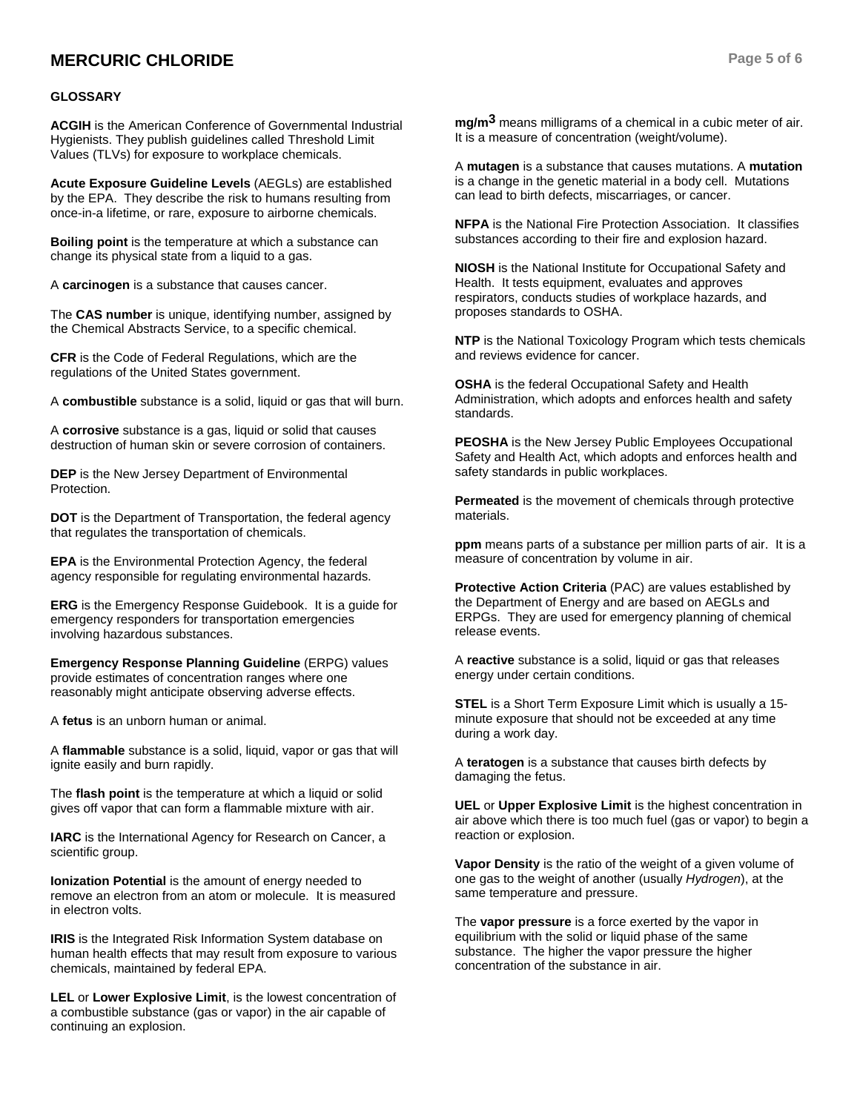# **MERCURIC CHLORIDE Page 5 of 6**

#### **GLOSSARY**

**ACGIH** is the American Conference of Governmental Industrial Hygienists. They publish guidelines called Threshold Limit Values (TLVs) for exposure to workplace chemicals.

**Acute Exposure Guideline Levels** (AEGLs) are established by the EPA. They describe the risk to humans resulting from once-in-a lifetime, or rare, exposure to airborne chemicals.

**Boiling point** is the temperature at which a substance can change its physical state from a liquid to a gas.

A **carcinogen** is a substance that causes cancer.

The **CAS number** is unique, identifying number, assigned by the Chemical Abstracts Service, to a specific chemical.

**CFR** is the Code of Federal Regulations, which are the regulations of the United States government.

A **combustible** substance is a solid, liquid or gas that will burn.

A **corrosive** substance is a gas, liquid or solid that causes destruction of human skin or severe corrosion of containers.

**DEP** is the New Jersey Department of Environmental Protection.

**DOT** is the Department of Transportation, the federal agency that regulates the transportation of chemicals.

**EPA** is the Environmental Protection Agency, the federal agency responsible for regulating environmental hazards.

**ERG** is the Emergency Response Guidebook. It is a guide for emergency responders for transportation emergencies involving hazardous substances.

**Emergency Response Planning Guideline** (ERPG) values provide estimates of concentration ranges where one reasonably might anticipate observing adverse effects.

A **fetus** is an unborn human or animal.

A **flammable** substance is a solid, liquid, vapor or gas that will ignite easily and burn rapidly.

The **flash point** is the temperature at which a liquid or solid gives off vapor that can form a flammable mixture with air.

**IARC** is the International Agency for Research on Cancer, a scientific group.

**Ionization Potential** is the amount of energy needed to remove an electron from an atom or molecule. It is measured in electron volts.

**IRIS** is the Integrated Risk Information System database on human health effects that may result from exposure to various chemicals, maintained by federal EPA.

**LEL** or **Lower Explosive Limit**, is the lowest concentration of a combustible substance (gas or vapor) in the air capable of continuing an explosion.

**mg/m3** means milligrams of a chemical in a cubic meter of air. It is a measure of concentration (weight/volume).

A **mutagen** is a substance that causes mutations. A **mutation** is a change in the genetic material in a body cell. Mutations can lead to birth defects, miscarriages, or cancer.

**NFPA** is the National Fire Protection Association. It classifies substances according to their fire and explosion hazard.

**NIOSH** is the National Institute for Occupational Safety and Health. It tests equipment, evaluates and approves respirators, conducts studies of workplace hazards, and proposes standards to OSHA.

**NTP** is the National Toxicology Program which tests chemicals and reviews evidence for cancer.

**OSHA** is the federal Occupational Safety and Health Administration, which adopts and enforces health and safety standards.

**PEOSHA** is the New Jersey Public Employees Occupational Safety and Health Act, which adopts and enforces health and safety standards in public workplaces.

**Permeated** is the movement of chemicals through protective materials.

**ppm** means parts of a substance per million parts of air. It is a measure of concentration by volume in air.

**Protective Action Criteria** (PAC) are values established by the Department of Energy and are based on AEGLs and ERPGs. They are used for emergency planning of chemical release events.

A **reactive** substance is a solid, liquid or gas that releases energy under certain conditions.

**STEL** is a Short Term Exposure Limit which is usually a 15 minute exposure that should not be exceeded at any time during a work day.

A **teratogen** is a substance that causes birth defects by damaging the fetus.

**UEL** or **Upper Explosive Limit** is the highest concentration in air above which there is too much fuel (gas or vapor) to begin a reaction or explosion.

**Vapor Density** is the ratio of the weight of a given volume of one gas to the weight of another (usually *Hydrogen*), at the same temperature and pressure.

The **vapor pressure** is a force exerted by the vapor in equilibrium with the solid or liquid phase of the same substance. The higher the vapor pressure the higher concentration of the substance in air.